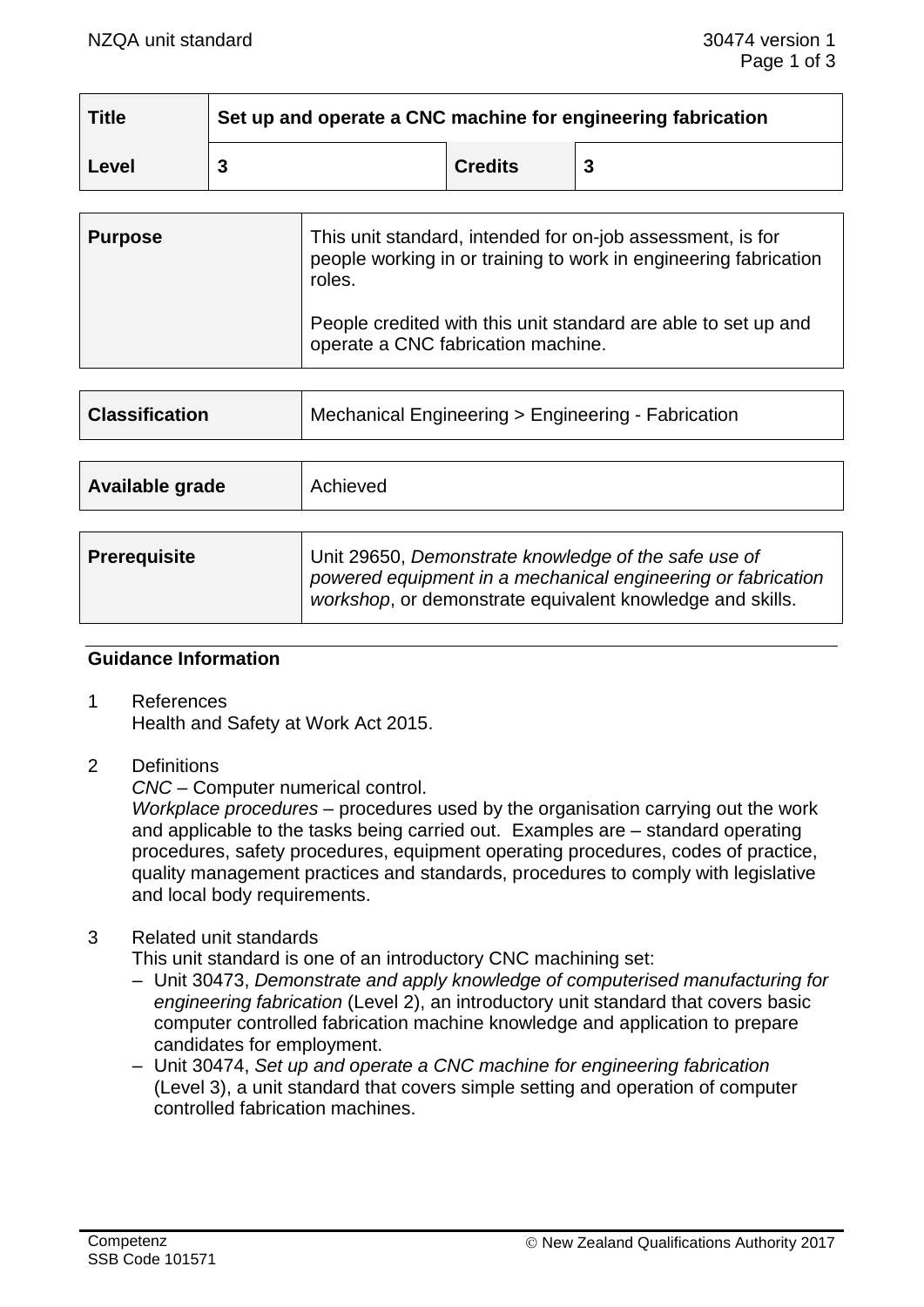| <b>Title</b> | Set up and operate a CNC machine for engineering fabrication |                |  |
|--------------|--------------------------------------------------------------|----------------|--|
| Level        |                                                              | <b>Credits</b> |  |

| <b>Purpose</b> | This unit standard, intended for on-job assessment, is for<br>people working in or training to work in engineering fabrication<br>roles. |
|----------------|------------------------------------------------------------------------------------------------------------------------------------------|
|                | People credited with this unit standard are able to set up and<br>operate a CNC fabrication machine.                                     |

| <b>Classification</b> | Mechanical Engineering > Engineering - Fabrication                                                                                                                                |  |
|-----------------------|-----------------------------------------------------------------------------------------------------------------------------------------------------------------------------------|--|
|                       |                                                                                                                                                                                   |  |
| Available grade       | Achieved                                                                                                                                                                          |  |
|                       |                                                                                                                                                                                   |  |
| <b>Prerequisite</b>   | Unit 29650, Demonstrate knowledge of the safe use of<br>powered equipment in a mechanical engineering or fabrication<br>workshop, or demonstrate equivalent knowledge and skills. |  |

#### **Guidance Information**

- 1 References Health and Safety at Work Act 2015.
- 2 Definitions

*CNC* – Computer numerical control.

*Workplace procedures* – procedures used by the organisation carrying out the work and applicable to the tasks being carried out. Examples are – standard operating procedures, safety procedures, equipment operating procedures, codes of practice, quality management practices and standards, procedures to comply with legislative and local body requirements.

#### 3 Related unit standards

This unit standard is one of an introductory CNC machining set:

- Unit 30473, *Demonstrate and apply knowledge of computerised manufacturing for engineering fabrication* (Level 2), an introductory unit standard that covers basic computer controlled fabrication machine knowledge and application to prepare candidates for employment.
- Unit 30474, *Set up and operate a CNC machine for engineering fabrication*  (Level 3), a unit standard that covers simple setting and operation of computer controlled fabrication machines.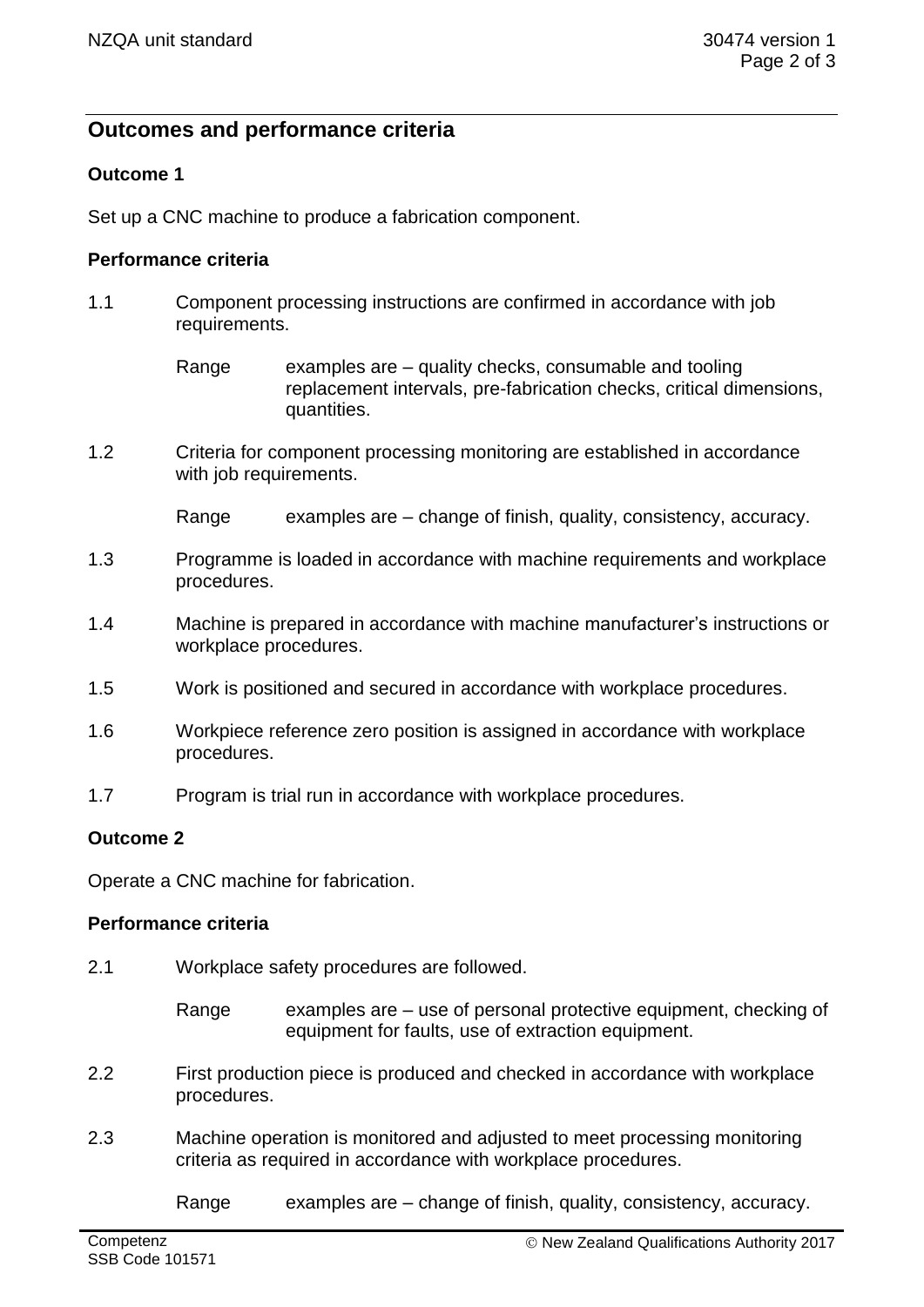# **Outcomes and performance criteria**

# **Outcome 1**

Set up a CNC machine to produce a fabrication component.

### **Performance criteria**

- 1.1 Component processing instructions are confirmed in accordance with job requirements.
	- Range examples are quality checks, consumable and tooling replacement intervals, pre-fabrication checks, critical dimensions, quantities.
- 1.2 Criteria for component processing monitoring are established in accordance with job requirements.

Range examples are  $-$  change of finish, quality, consistency, accuracy.

- 1.3 Programme is loaded in accordance with machine requirements and workplace procedures.
- 1.4 Machine is prepared in accordance with machine manufacturer's instructions or workplace procedures.
- 1.5 Work is positioned and secured in accordance with workplace procedures.
- 1.6 Workpiece reference zero position is assigned in accordance with workplace procedures.
- 1.7 Program is trial run in accordance with workplace procedures.

## **Outcome 2**

Operate a CNC machine for fabrication.

#### **Performance criteria**

- 2.1 Workplace safety procedures are followed.
	- Range examples are use of personal protective equipment, checking of equipment for faults, use of extraction equipment.
- 2.2 First production piece is produced and checked in accordance with workplace procedures.
- 2.3 Machine operation is monitored and adjusted to meet processing monitoring criteria as required in accordance with workplace procedures.

Range examples are – change of finish, quality, consistency, accuracy.